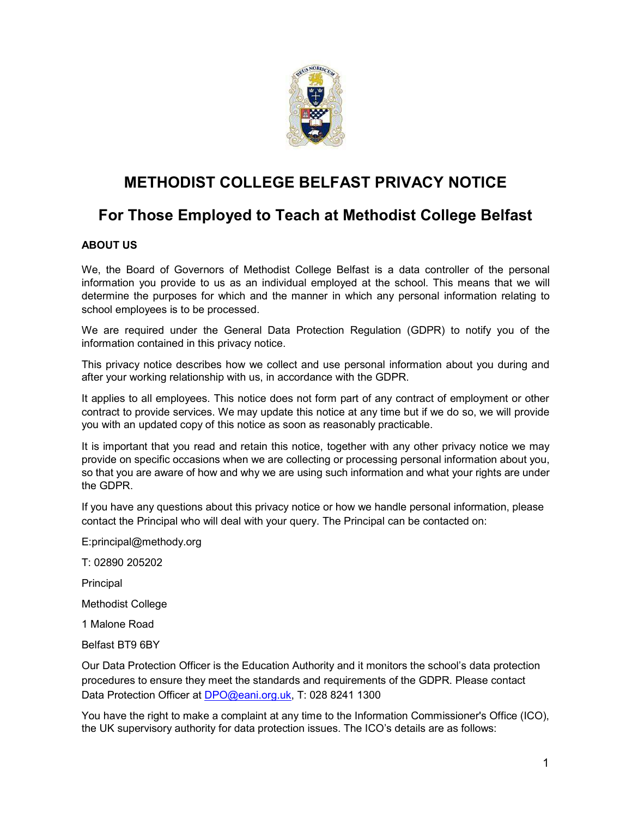

# METHODIST COLLEGE BELFAST PRIVACY NOTICE

# For Those Employed to Teach at Methodist College Belfast

## ABOUT US

We, the Board of Governors of Methodist College Belfast is a data controller of the personal information you provide to us as an individual employed at the school. This means that we will determine the purposes for which and the manner in which any personal information relating to school employees is to be processed.

We are required under the General Data Protection Regulation (GDPR) to notify you of the information contained in this privacy notice.

This privacy notice describes how we collect and use personal information about you during and after your working relationship with us, in accordance with the GDPR.

It applies to all employees. This notice does not form part of any contract of employment or other contract to provide services. We may update this notice at any time but if we do so, we will provide you with an updated copy of this notice as soon as reasonably practicable.

It is important that you read and retain this notice, together with any other privacy notice we may provide on specific occasions when we are collecting or processing personal information about you, so that you are aware of how and why we are using such information and what your rights are under the GDPR.

If you have any questions about this privacy notice or how we handle personal information, please contact the Principal who will deal with your query. The Principal can be contacted on:

E:principal@methody.org

T: 02890 205202

Principal

Methodist College

1 Malone Road

Belfast BT9 6BY

Our Data Protection Officer is the Education Authority and it monitors the school's data protection procedures to ensure they meet the standards and requirements of the GDPR. Please contact Data Protection Officer at DPO@eani.org.uk, T: 028 8241 1300

You have the right to make a complaint at any time to the Information Commissioner's Office (ICO), the UK supervisory authority for data protection issues. The ICO's details are as follows: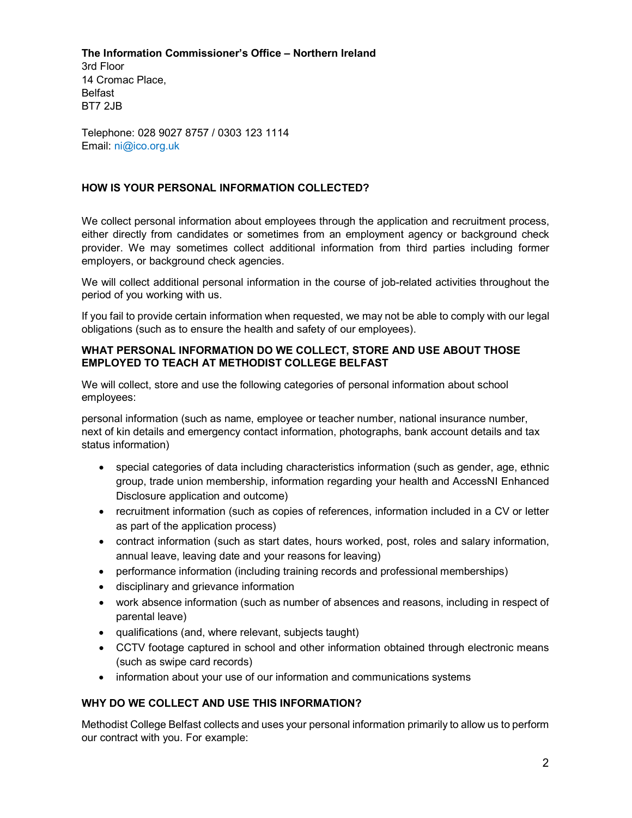## The Information Commissioner's Office – Northern Ireland

3rd Floor 14 Cromac Place, Belfast BT7 2JB

Telephone: 028 9027 8757 / 0303 123 1114 Email: ni@ico.org.uk

## HOW IS YOUR PERSONAL INFORMATION COLLECTED?

We collect personal information about employees through the application and recruitment process, either directly from candidates or sometimes from an employment agency or background check provider. We may sometimes collect additional information from third parties including former employers, or background check agencies.

We will collect additional personal information in the course of job-related activities throughout the period of you working with us.

If you fail to provide certain information when requested, we may not be able to comply with our legal obligations (such as to ensure the health and safety of our employees).

## WHAT PERSONAL INFORMATION DO WE COLLECT, STORE AND USE ABOUT THOSE EMPLOYED TO TEACH AT METHODIST COLLEGE BELFAST

We will collect, store and use the following categories of personal information about school employees:

personal information (such as name, employee or teacher number, national insurance number, next of kin details and emergency contact information, photographs, bank account details and tax status information)

- special categories of data including characteristics information (such as gender, age, ethnic group, trade union membership, information regarding your health and AccessNI Enhanced Disclosure application and outcome)
- recruitment information (such as copies of references, information included in a CV or letter as part of the application process)
- contract information (such as start dates, hours worked, post, roles and salary information, annual leave, leaving date and your reasons for leaving)
- performance information (including training records and professional memberships)
- disciplinary and grievance information
- work absence information (such as number of absences and reasons, including in respect of parental leave)
- qualifications (and, where relevant, subjects taught)
- CCTV footage captured in school and other information obtained through electronic means (such as swipe card records)
- information about your use of our information and communications systems

## WHY DO WE COLLECT AND USE THIS INFORMATION?

Methodist College Belfast collects and uses your personal information primarily to allow us to perform our contract with you. For example: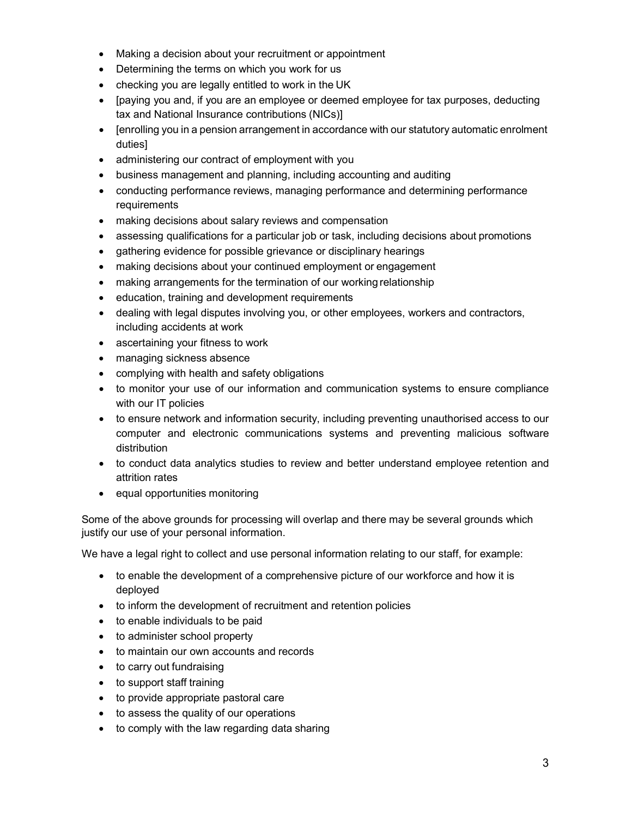- Making a decision about your recruitment or appointment
- Determining the terms on which you work for us
- checking you are legally entitled to work in the UK
- [paying you and, if you are an employee or deemed employee for tax purposes, deducting tax and National Insurance contributions (NICs)]
- Fenrolling you in a pension arrangement in accordance with our statutory automatic enrolment duties]
- administering our contract of employment with you
- business management and planning, including accounting and auditing
- conducting performance reviews, managing performance and determining performance requirements
- making decisions about salary reviews and compensation
- assessing qualifications for a particular job or task, including decisions about promotions
- gathering evidence for possible grievance or disciplinary hearings
- making decisions about your continued employment or engagement
- making arrangements for the termination of our working relationship
- education, training and development requirements
- dealing with legal disputes involving you, or other employees, workers and contractors, including accidents at work
- ascertaining your fitness to work
- managing sickness absence
- complying with health and safety obligations
- to monitor your use of our information and communication systems to ensure compliance with our IT policies
- to ensure network and information security, including preventing unauthorised access to our computer and electronic communications systems and preventing malicious software distribution
- to conduct data analytics studies to review and better understand employee retention and attrition rates
- equal opportunities monitoring

Some of the above grounds for processing will overlap and there may be several grounds which justify our use of your personal information.

We have a legal right to collect and use personal information relating to our staff, for example:

- to enable the development of a comprehensive picture of our workforce and how it is deployed
- to inform the development of recruitment and retention policies
- to enable individuals to be paid
- to administer school property
- to maintain our own accounts and records
- to carry out fundraising
- to support staff training
- to provide appropriate pastoral care
- to assess the quality of our operations
- to comply with the law regarding data sharing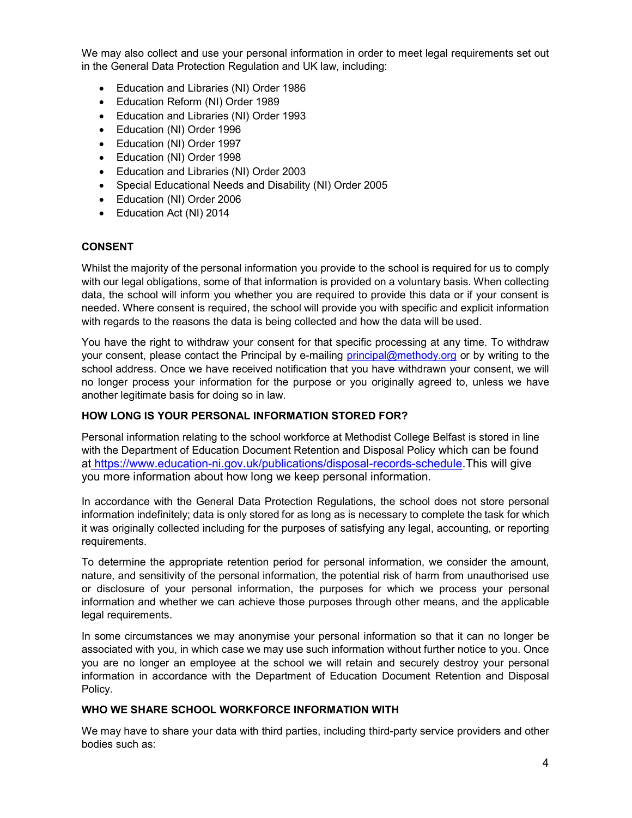We may also collect and use your personal information in order to meet legal requirements set out in the General Data Protection Regulation and UK law, including:

- Education and Libraries (NI) Order 1986
- Education Reform (NI) Order 1989
- Education and Libraries (NI) Order 1993
- Education (NI) Order 1996
- Education (NI) Order 1997
- Education (NI) Order 1998
- Education and Libraries (NI) Order 2003
- Special Educational Needs and Disability (NI) Order 2005
- Education (NI) Order 2006
- Education Act (NI) 2014

### CONSENT

Whilst the majority of the personal information you provide to the school is required for us to comply with our legal obligations, some of that information is provided on a voluntary basis. When collecting data, the school will inform you whether you are required to provide this data or if your consent is needed. Where consent is required, the school will provide you with specific and explicit information with regards to the reasons the data is being collected and how the data will be used.

You have the right to withdraw your consent for that specific processing at any time. To withdraw your consent, please contact the Principal by e-mailing principal@methody.org or by writing to the school address. Once we have received notification that you have withdrawn your consent, we will no longer process your information for the purpose or you originally agreed to, unless we have another legitimate basis for doing so in law.

### HOW LONG IS YOUR PERSONAL INFORMATION STORED FOR?

Personal information relating to the school workforce at Methodist College Belfast is stored in line with the Department of Education Document Retention and Disposal Policy which can be found at https://www.education-ni.gov.uk/publications/disposal-records-schedule.This will give you more information about how long we keep personal information.

In accordance with the General Data Protection Regulations, the school does not store personal information indefinitely; data is only stored for as long as is necessary to complete the task for which it was originally collected including for the purposes of satisfying any legal, accounting, or reporting requirements.

To determine the appropriate retention period for personal information, we consider the amount, nature, and sensitivity of the personal information, the potential risk of harm from unauthorised use or disclosure of your personal information, the purposes for which we process your personal information and whether we can achieve those purposes through other means, and the applicable legal requirements.

In some circumstances we may anonymise your personal information so that it can no longer be associated with you, in which case we may use such information without further notice to you. Once you are no longer an employee at the school we will retain and securely destroy your personal information in accordance with the Department of Education Document Retention and Disposal Policy.

### WHO WE SHARE SCHOOL WORKFORCE INFORMATION WITH

We may have to share your data with third parties, including third-party service providers and other bodies such as: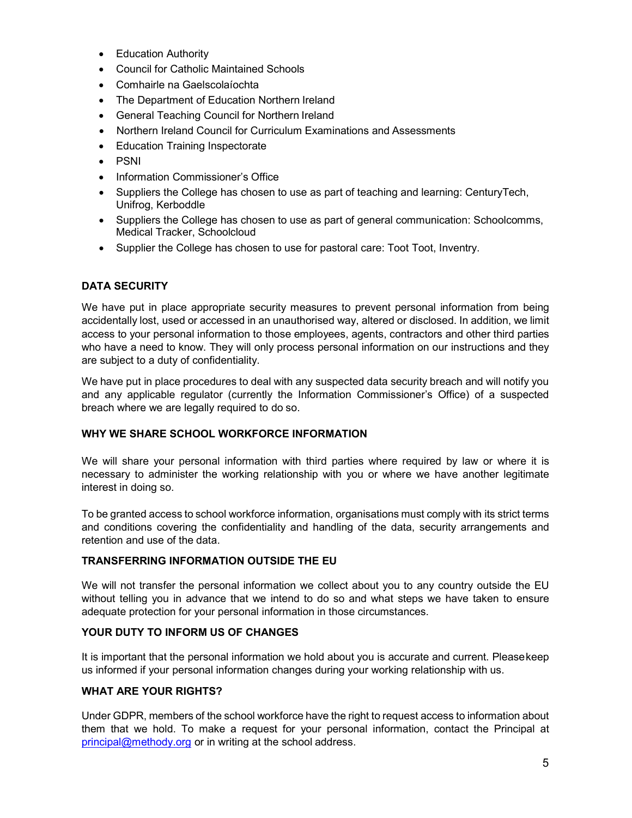- Education Authority
- Council for Catholic Maintained Schools
- Comhairle na Gaelscolaíochta
- The Department of Education Northern Ireland
- General Teaching Council for Northern Ireland
- Northern Ireland Council for Curriculum Examinations and Assessments
- Education Training Inspectorate
- PSNI
- Information Commissioner's Office
- Suppliers the College has chosen to use as part of teaching and learning: CenturyTech, Unifrog, Kerboddle
- Suppliers the College has chosen to use as part of general communication: Schoolcomms, Medical Tracker, Schoolcloud
- Supplier the College has chosen to use for pastoral care: Toot Toot, Inventry.

### DATA SECURITY

We have put in place appropriate security measures to prevent personal information from being accidentally lost, used or accessed in an unauthorised way, altered or disclosed. In addition, we limit access to your personal information to those employees, agents, contractors and other third parties who have a need to know. They will only process personal information on our instructions and they are subject to a duty of confidentiality.

We have put in place procedures to deal with any suspected data security breach and will notify you and any applicable regulator (currently the Information Commissioner's Office) of a suspected breach where we are legally required to do so.

### WHY WE SHARE SCHOOL WORKFORCE INFORMATION

We will share your personal information with third parties where required by law or where it is necessary to administer the working relationship with you or where we have another legitimate interest in doing so.

To be granted access to school workforce information, organisations must comply with its strict terms and conditions covering the confidentiality and handling of the data, security arrangements and retention and use of the data.

#### TRANSFERRING INFORMATION OUTSIDE THE EU

We will not transfer the personal information we collect about you to any country outside the EU without telling you in advance that we intend to do so and what steps we have taken to ensure adequate protection for your personal information in those circumstances.

### YOUR DUTY TO INFORM US OF CHANGES

It is important that the personal information we hold about you is accurate and current. Please keep us informed if your personal information changes during your working relationship with us.

#### WHAT ARE YOUR RIGHTS?

Under GDPR, members of the school workforce have the right to request access to information about them that we hold. To make a request for your personal information, contact the Principal at principal@methody.org or in writing at the school address.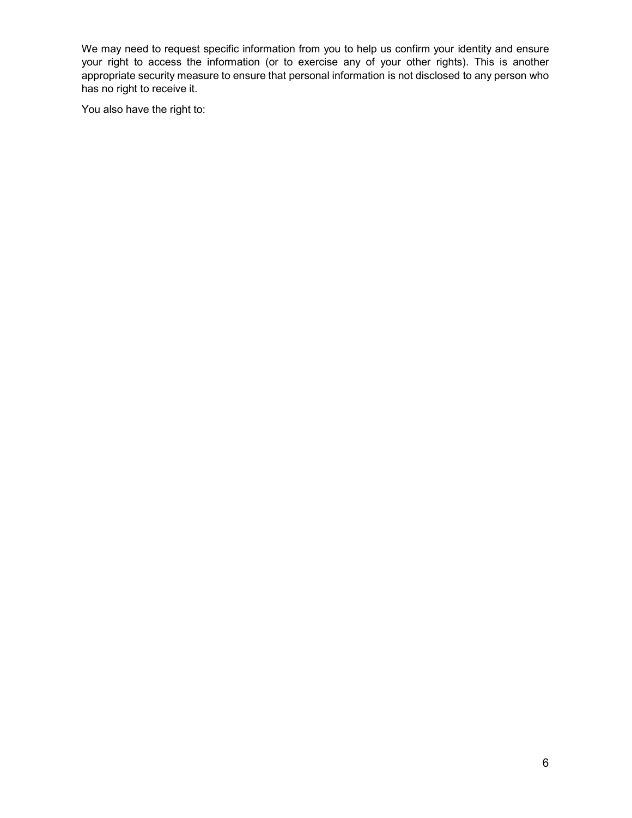We may need to request specific information from you to help us confirm your identity and ensure your right to access the information (or to exercise any of your other rights). This is another appropriate security measure to ensure that personal information is not disclosed to any person who has no right to receive it.

You also have the right to: